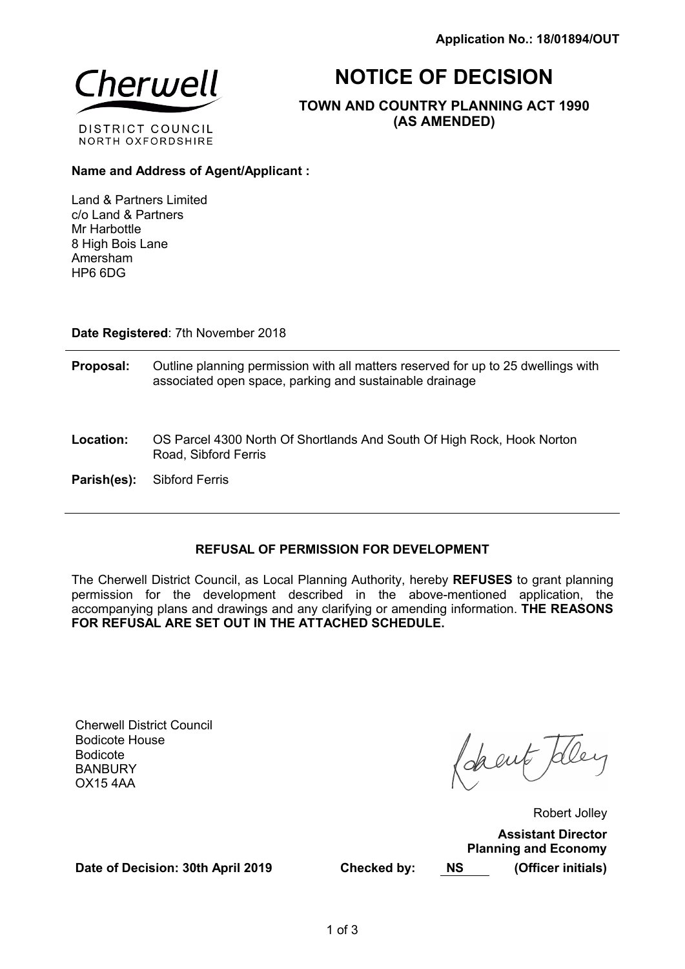

# NOTICE OF DECISION

TOWN AND COUNTRY PLANNING ACT 1990 (AS AMENDED)

# Name and Address of Agent/Applicant :

Land & Partners Limited c/o Land & Partners Mr Harbottle 8 High Bois Lane Amersham HP6 6DG

Date Registered: 7th November 2018

- Proposal: Outline planning permission with all matters reserved for up to 25 dwellings with associated open space, parking and sustainable drainage
- Location: OS Parcel 4300 North Of Shortlands And South Of High Rock, Hook Norton Road, Sibford Ferris

Parish(es): Sibford Ferris

# REFUSAL OF PERMISSION FOR DEVELOPMENT

The Cherwell District Council, as Local Planning Authority, hereby REFUSES to grant planning permission for the development described in the above-mentioned application, the accompanying plans and drawings and any clarifying or amending information. THE REASONS FOR REFUSAL ARE SET OUT IN THE ATTACHED SCHEDULE.

Cherwell District Council Bodicote House Bodicote **BANBURY** OX15 4AA

(deant Teler

Robert Jolley Assistant Director Planning and Economy Checked by: NS (Officer initials)

Date of Decision: 30th April 2019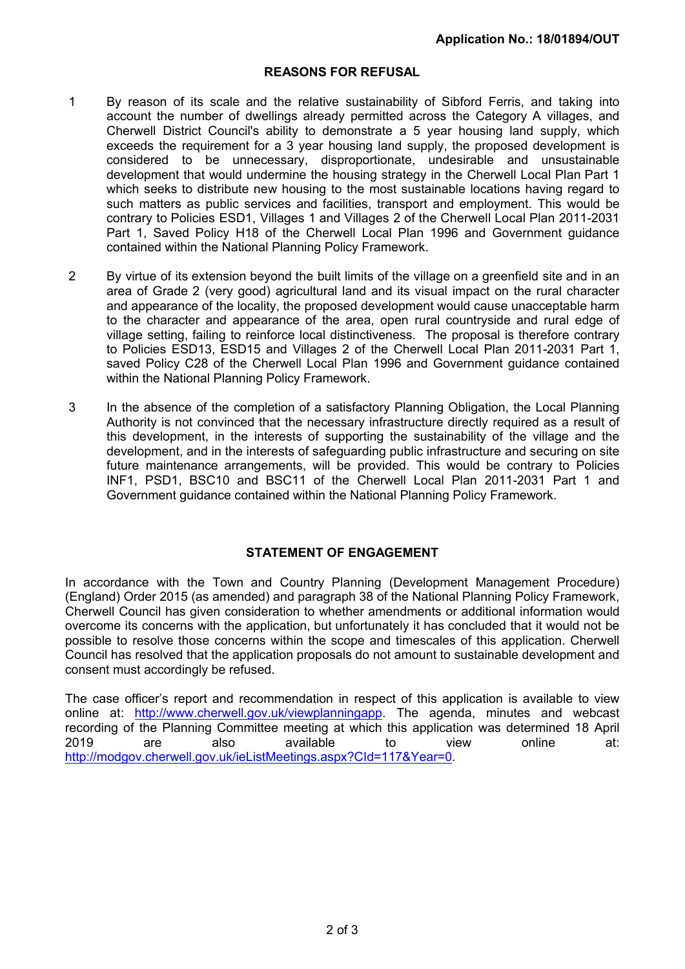## REASONS FOR REFUSAL

- 1 By reason of its scale and the relative sustainability of Sibford Ferris, and taking into account the number of dwellings already permitted across the Category A villages, and Cherwell District Council's ability to demonstrate a 5 year housing land supply, which exceeds the requirement for a 3 year housing land supply, the proposed development is considered to be unnecessary, disproportionate, undesirable and unsustainable development that would undermine the housing strategy in the Cherwell Local Plan Part 1 which seeks to distribute new housing to the most sustainable locations having regard to such matters as public services and facilities, transport and employment. This would be contrary to Policies ESD1, Villages 1 and Villages 2 of the Cherwell Local Plan 2011-2031 Part 1, Saved Policy H18 of the Cherwell Local Plan 1996 and Government guidance contained within the National Planning Policy Framework.
- 2 By virtue of its extension beyond the built limits of the village on a greenfield site and in an area of Grade 2 (very good) agricultural land and its visual impact on the rural character and appearance of the locality, the proposed development would cause unacceptable harm to the character and appearance of the area, open rural countryside and rural edge of village setting, failing to reinforce local distinctiveness. The proposal is therefore contrary to Policies ESD13, ESD15 and Villages 2 of the Cherwell Local Plan 2011-2031 Part 1, saved Policy C28 of the Cherwell Local Plan 1996 and Government guidance contained within the National Planning Policy Framework.
- 3 In the absence of the completion of a satisfactory Planning Obligation, the Local Planning Authority is not convinced that the necessary infrastructure directly required as a result of this development, in the interests of supporting the sustainability of the village and the development, and in the interests of safeguarding public infrastructure and securing on site future maintenance arrangements, will be provided. This would be contrary to Policies INF1, PSD1, BSC10 and BSC11 of the Cherwell Local Plan 2011-2031 Part 1 and Government guidance contained within the National Planning Policy Framework.

## STATEMENT OF ENGAGEMENT

In accordance with the Town and Country Planning (Development Management Procedure) (England) Order 2015 (as amended) and paragraph 38 of the National Planning Policy Framework, Cherwell Council has given consideration to whether amendments or additional information would overcome its concerns with the application, but unfortunately it has concluded that it would not be possible to resolve those concerns within the scope and timescales of this application. Cherwell Council has resolved that the application proposals do not amount to sustainable development and consent must accordingly be refused.

The case officer's report and recommendation in respect of this application is available to view online at: http://www.cherwell.gov.uk/viewplanningapp. The agenda, minutes and webcast recording of the Planning Committee meeting at which this application was determined 18 April 2019 are also available to view online at: http://modgov.cherwell.gov.uk/ieListMeetings.aspx?CId=117&Year=0.